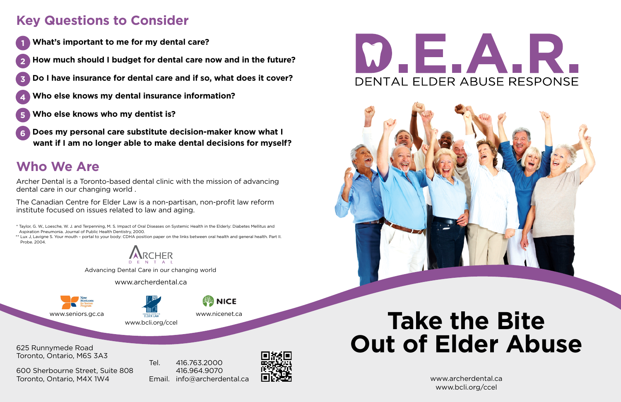# **Take the Bite Out of Elder Abuse**

www.archerdental.ca www.bcli.org/ccel



625 Runnymede Road Toronto, Ontario, M6S 3A3

600 Sherbourne Street, Suite 808 Toronto, Ontario, M4X 1W4

Tel. 416.763.2000 416.964.9070 Email. info@archerdental.ca



# $\overline{E}$



- **1 What's important to me for my dental care?**
- **2 How much should I budget for dental care now and in the future?**
- **3 Do I have insurance for dental care and if so, what does it cover?**
- **4 Who else knows my dental insurance information?**
- **5 Who else knows who my dentist is?**
- **6 Does my personal care substitute decision-maker know what I want if I am no longer able to make dental decisions for myself?**

\*\* Lux J, Lavigne S. Your mouth - portal to your body: CDHA position paper on the links between oral health and general health. Part II. Probe. 2004.



# **Key Questions to Consider**

## **Who We Are**

Archer Dental is a Toronto-based dental clinic with the mission of advancing dental care in our changing world .

The Canadian Centre for Elder Law is a non-partisan, non-profit law reform institute focused on issues related to law and aging.

 \* Taylor, G. W., Loesche, W. J. and Terpenning, M. S. Impact of Oral Diseases on Systemic Health in the Elderly: Diabetes Mellitus and Aspiration Pneumonia. Journal of Public Health Dentistry, 2000.

www.nicenet.ca

www.bcli.org/ccel

Advancing Dental Care in our changing world

www.archerdental.ca

www.seniors.gc.ca

CANADIAN CENTRE FI<br>FI DER TAM

**NICE**